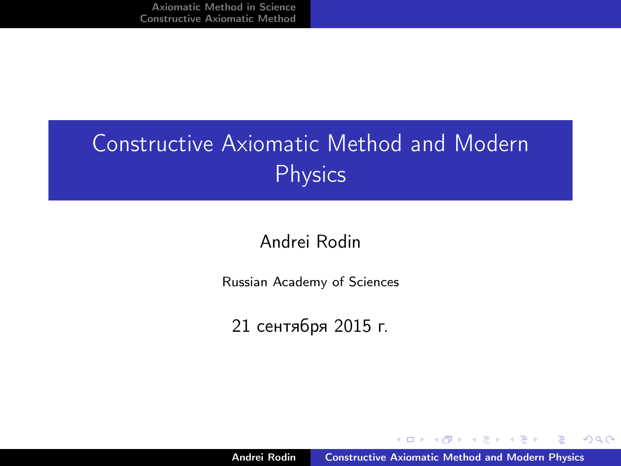# Constructive Axiomatic Method and Modern Physics

#### Andrei Rodin

Russian Academy of Sciences

21 сентября 2015 г.

 $\mathbf{A}$   $\mathbf{B}$   $\mathbf{B}$   $\mathbf{A}$   $\mathbf{B}$   $\mathbf{B}$ 

<span id="page-0-0"></span>走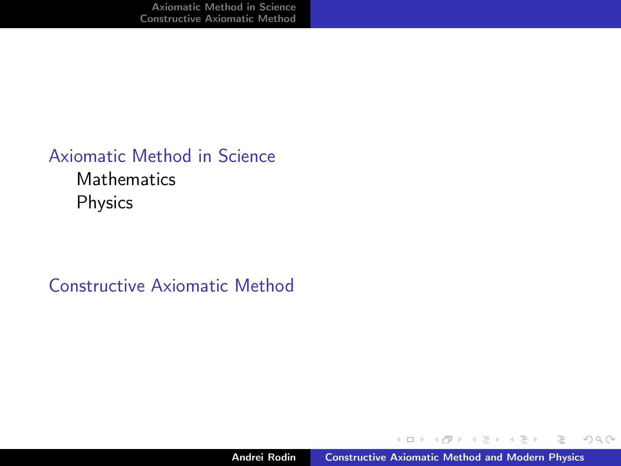### [Axiomatic Method in Science](#page-2-0) **[Mathematics](#page-5-0)** [Physics](#page-12-0)

[Constructive Axiomatic Method](#page-21-0)

キロメ オ御き オミメ オミメ

重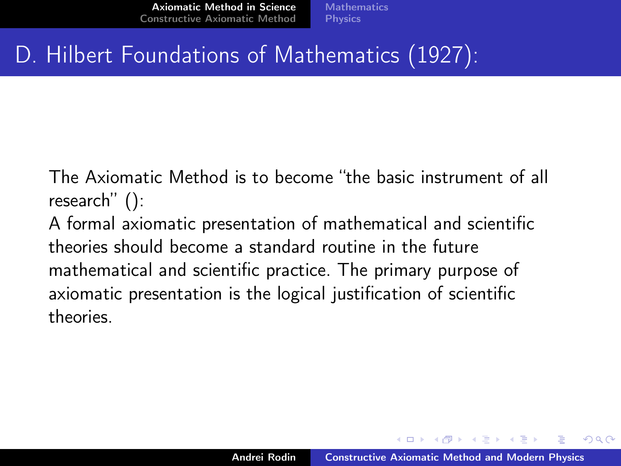## D. Hilbert Foundations of Mathematics (1927):

The Axiomatic Method is to become "the basic instrument of all research" ():

A formal axiomatic presentation of mathematical and scientific theories should become a standard routine in the future mathematical and scientific practice. The primary purpose of axiomatic presentation is the logical justification of scientific theories.

<span id="page-2-0"></span> $A \cap B$   $A \cap B$   $B \cap A$   $B \cap B$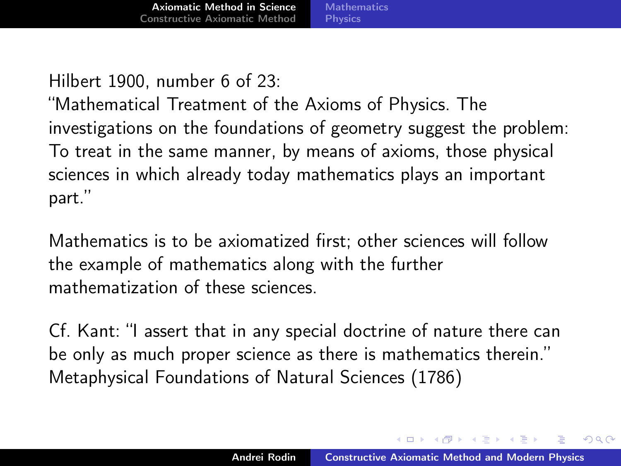Hilbert 1900, number 6 of 23:

"Mathematical Treatment of the Axioms of Physics. The investigations on the foundations of geometry suggest the problem: To treat in the same manner, by means of axioms, those physical sciences in which already today mathematics plays an important part."

Mathematics is to be axiomatized first; other sciences will follow the example of mathematics along with the further mathematization of these sciences.

Cf. Kant: "I assert that in any special doctrine of nature there can be only as much proper science as there is mathematics therein." Metaphysical Foundations of Natural Sciences (1786)

イロメ マ母 トラ ミトラ オラメ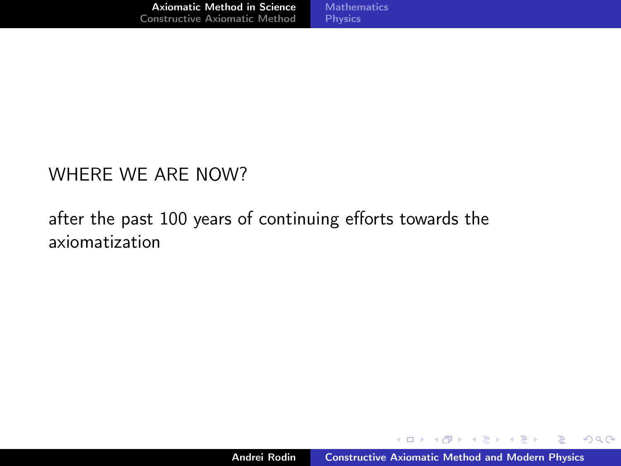#### WHERE WE ARE NOW?

### after the past 100 years of continuing efforts towards the axiomatization

K ロ ▶ K 御 ▶ K 君 ▶ K 君 ▶

 $298$ 

画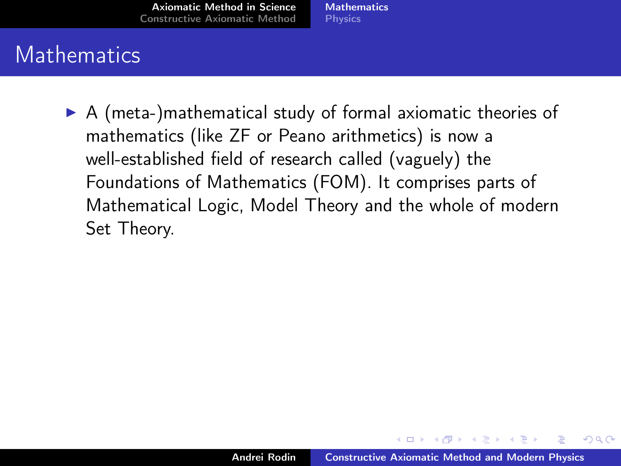<span id="page-5-0"></span>**[Mathematics](#page-6-0) [Physics](#page-12-0)** 

### **Mathematics**

 $\triangleright$  A (meta-)mathematical study of formal axiomatic theories of mathematics (like ZF or Peano arithmetics) is now a well-established field of research called (vaguely) the Foundations of Mathematics (FOM). It comprises parts of Mathematical Logic, Model Theory and the whole of modern Set Theory.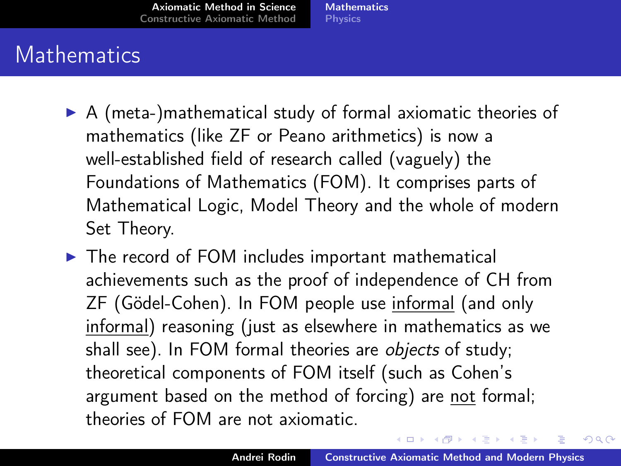## **Mathematics**

- $\triangleright$  A (meta-)mathematical study of formal axiomatic theories of mathematics (like ZF or Peano arithmetics) is now a well-established field of research called (vaguely) the Foundations of Mathematics (FOM). It comprises parts of Mathematical Logic, Model Theory and the whole of modern Set Theory.
- $\triangleright$  The record of FOM includes important mathematical achievements such as the proof of independence of CH from ZF (Gödel-Cohen). In FOM people use informal (and only informal) reasoning (just as elsewhere in mathematics as we shall see). In FOM formal theories are *objects* of study; theoretical components of FOM itself (such as Cohen's argument based on the method of forcing) are not formal; theories of FOM are not axiomatic.

<span id="page-6-0"></span>イロメ マ母 トラ ミトラ オラメ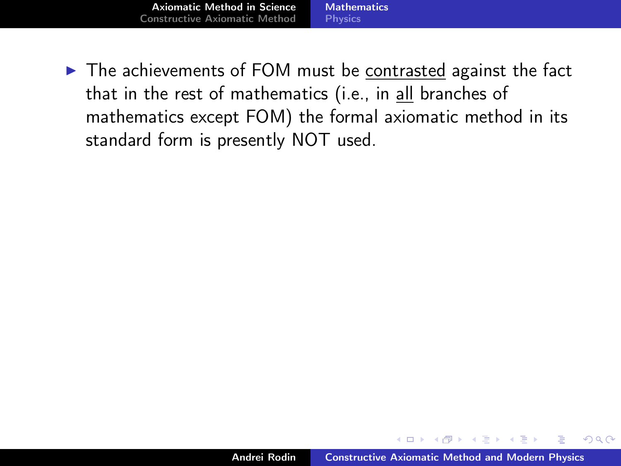[Axiomatic Method in Science](#page-2-0) [Constructive Axiomatic Method](#page-21-0) [Mathematics](#page-5-0) **[Physics](#page-12-0)** 

 $\triangleright$  The achievements of FOM must be contrasted against the fact that in the rest of mathematics (i.e., in all branches of mathematics except FOM) the formal axiomatic method in its standard form is presently NOT used.

 $4$   $\overline{m}$   $\rightarrow$   $\overline{m}$   $\rightarrow$   $\overline{m}$   $\rightarrow$   $\overline{m}$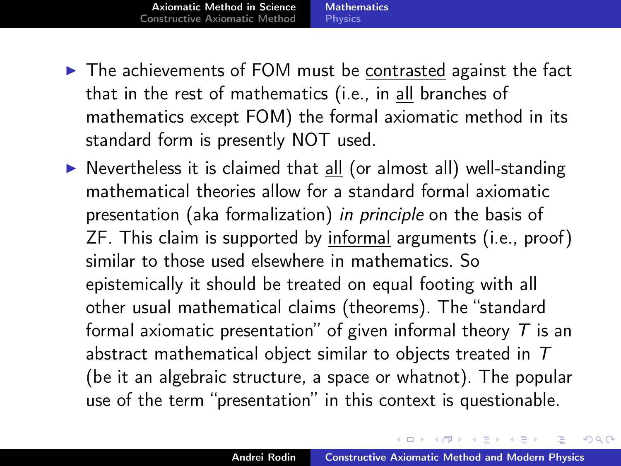[Axiomatic Method in Science](#page-2-0) [Constructive Axiomatic Method](#page-21-0) **[Mathematics](#page-5-0) [Physics](#page-12-0)** 

- $\triangleright$  The achievements of FOM must be contrasted against the fact that in the rest of mathematics (i.e., in all branches of mathematics except FOM) the formal axiomatic method in its standard form is presently NOT used.
- $\triangleright$  Nevertheless it is claimed that all (or almost all) well-standing mathematical theories allow for a standard formal axiomatic presentation (aka formalization) in principle on the basis of ZF. This claim is supported by informal arguments (i.e., proof) similar to those used elsewhere in mathematics. So epistemically it should be treated on equal footing with all other usual mathematical claims (theorems). The "standard formal axiomatic presentation" of given informal theory  $T$  is an abstract mathematical object similar to objects treated in T (be it an algebraic structure, a space or whatnot). The popular use of the term "presentation" in this context is questionable.

イロメ マ母 トラ ミュート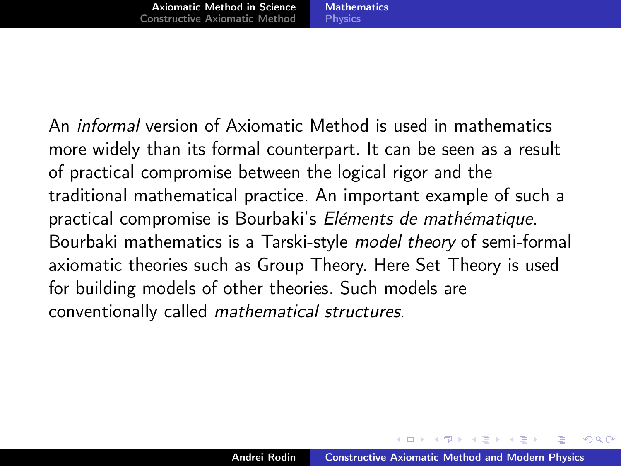An informal version of Axiomatic Method is used in mathematics more widely than its formal counterpart. It can be seen as a result of practical compromise between the logical rigor and the traditional mathematical practice. An important example of such a practical compromise is Bourbaki's Eléments de mathématique. Bourbaki mathematics is a Tarski-style model theory of semi-formal axiomatic theories such as Group Theory. Here Set Theory is used for building models of other theories. Such models are conventionally called mathematical structures.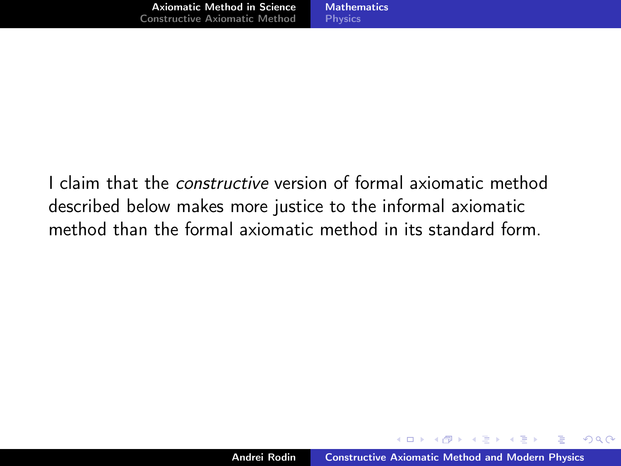I claim that the constructive version of formal axiomatic method described below makes more justice to the informal axiomatic method than the formal axiomatic method in its standard form.

 $4.57 + 4.77 +$ 

4 国 国

э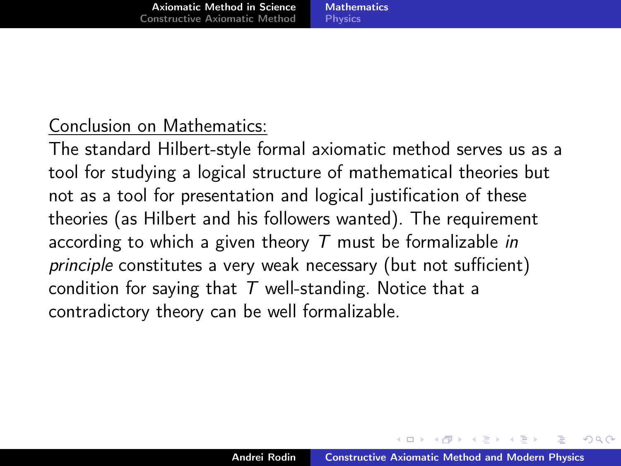#### **[Mathematics](#page-5-0) [Physics](#page-12-0)**

### Conclusion on Mathematics:

The standard Hilbert-style formal axiomatic method serves us as a tool for studying a logical structure of mathematical theories but not as a tool for presentation and logical justification of these theories (as Hilbert and his followers wanted). The requirement according to which a given theory  $T$  must be formalizable in principle constitutes a very weak necessary (but not sufficient) condition for saying that  $T$  well-standing. Notice that a contradictory theory can be well formalizable.

 $4.51 \times 1.71 \times 1.71$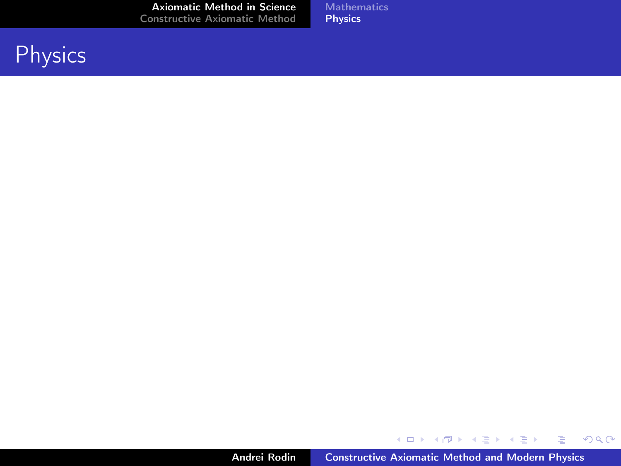**[Mathematics](#page-5-0)** [Physics](#page-15-0)

## **Physics**

Andrei Rodin **[Constructive Axiomatic Method and Modern Physics](#page-0-0)** 

メロメ メタメ メミメ メミメー

<span id="page-12-0"></span>(重)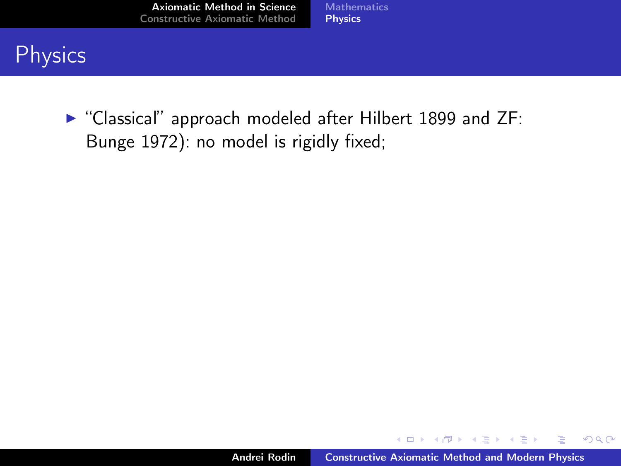[Mathematics](#page-5-0) [Physics](#page-15-0)

## **Physics**

 $\triangleright$  "Classical" approach modeled after Hilbert 1899 and ZF: Bunge 1972): no model is rigidly fixed;

イロメ イ部メ イヨメ イヨメ

 $298$ 

画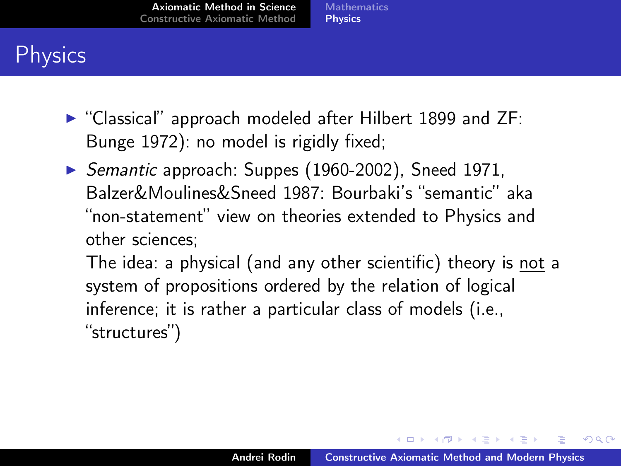**[Mathematics](#page-5-0) [Physics](#page-15-0)** 

## **Physics**

- $\triangleright$  "Classical" approach modeled after Hilbert 1899 and ZF: Bunge 1972): no model is rigidly fixed;
- $\triangleright$  Semantic approach: Suppes (1960-2002), Sneed 1971, Balzer&Moulines&Sneed 1987: Bourbaki's "semantic" aka "non-statement" view on theories extended to Physics and other sciences;

The idea: a physical (and any other scientific) theory is not a system of propositions ordered by the relation of logical inference; it is rather a particular class of models (i.e., "structures")

イロメ イ押 トラ ミトラ オチャ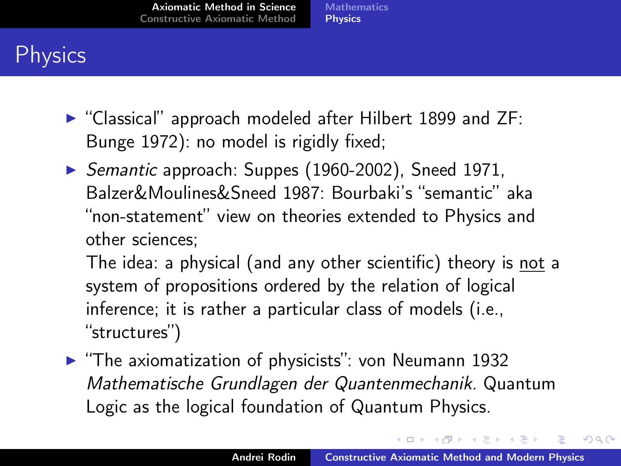## **Physics**

- $\triangleright$  "Classical" approach modeled after Hilbert 1899 and ZF: Bunge 1972): no model is rigidly fixed;
- ▶ Semantic approach: Suppes (1960-2002), Sneed 1971, Balzer&Moulines&Sneed 1987: Bourbaki's "semantic" aka "non-statement" view on theories extended to Physics and other sciences;

The idea: a physical (and any other scientific) theory is not a system of propositions ordered by the relation of logical inference; it is rather a particular class of models (i.e., "structures")

 $\blacktriangleright$  "The axiomatization of physicists": von Neumann 1932 Mathematische Grundlagen der Quantenmechanik. Quantum Logic as the logical foundation of Quantum Physics.

<span id="page-15-0"></span>イロメ イ押 トラ ミトラ オチャ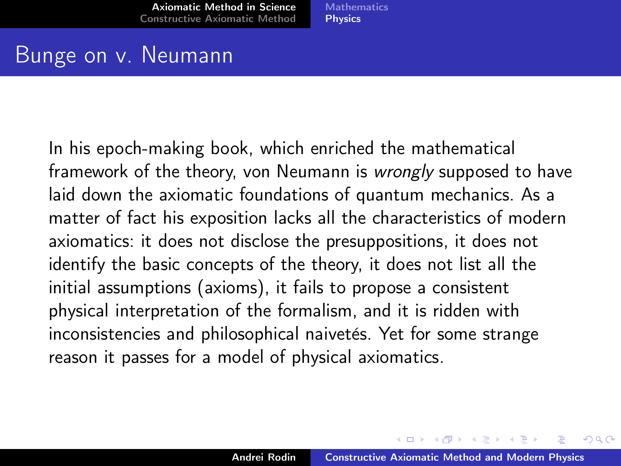**[Mathematics](#page-5-0) [Physics](#page-12-0)** 

### Bunge on v. Neumann

In his epoch-making book, which enriched the mathematical framework of the theory, von Neumann is wrongly supposed to have laid down the axiomatic foundations of quantum mechanics. As a matter of fact his exposition lacks all the characteristics of modern axiomatics: it does not disclose the presuppositions, it does not identify the basic concepts of the theory, it does not list all the initial assumptions (axioms), it fails to propose a consistent physical interpretation of the formalism, and it is ridden with inconsistencies and philosophical naivetés. Yet for some strange reason it passes for a model of physical axiomatics.

イロメ マ母 レマチャ マチャ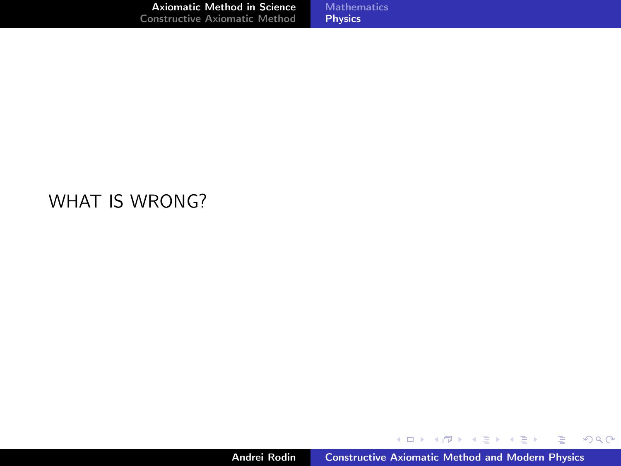#### WHAT IS WRONG?

メロト メ都 トメ 君 トメ 君 トッ

■ 1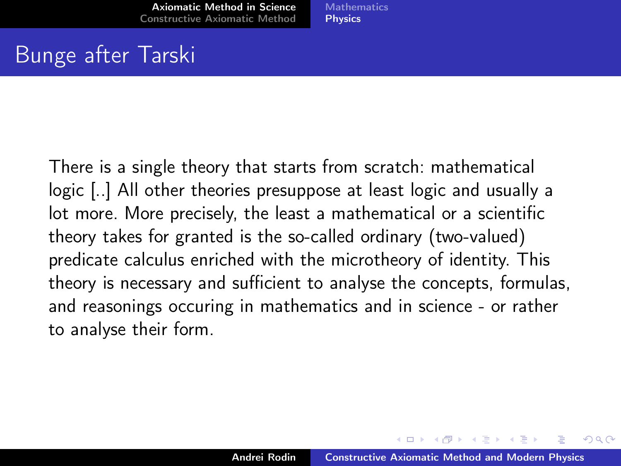## Bunge after Tarski

There is a single theory that starts from scratch: mathematical logic [..] All other theories presuppose at least logic and usually a lot more. More precisely, the least a mathematical or a scientific theory takes for granted is the so-called ordinary (two-valued) predicate calculus enriched with the microtheory of identity. This theory is necessary and sufficient to analyse the concepts, formulas, and reasonings occuring in mathematics and in science - or rather to analyse their form.

マーター マチュラ マチャ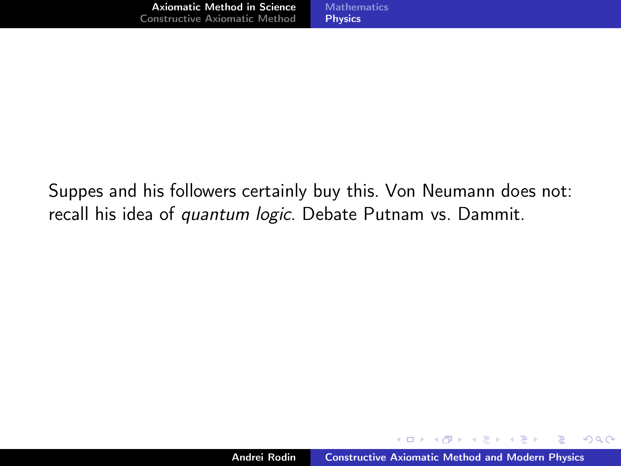Suppes and his followers certainly buy this. Von Neumann does not: recall his idea of *quantum logic*. Debate Putnam vs. Dammit.

 $A \oplus B$  and  $A \oplus B$  and  $A \oplus B$  and

 $298$ 

∍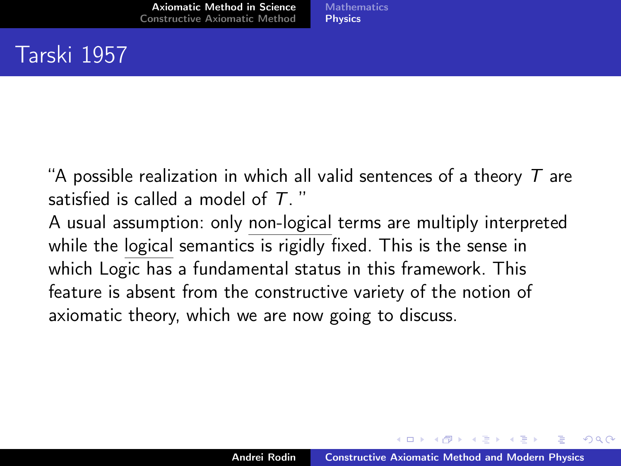## Tarski 1957

"A possible realization in which all valid sentences of a theory  $T$  are satisfied is called a model of  $T$ . "

A usual assumption: only non-logical terms are multiply interpreted while the logical semantics is rigidly fixed. This is the sense in which Logic has a fundamental status in this framework. This feature is absent from the constructive variety of the notion of axiomatic theory, which we are now going to discuss.

 $A \oplus B$  and  $A \oplus B$  and  $A \oplus B$  and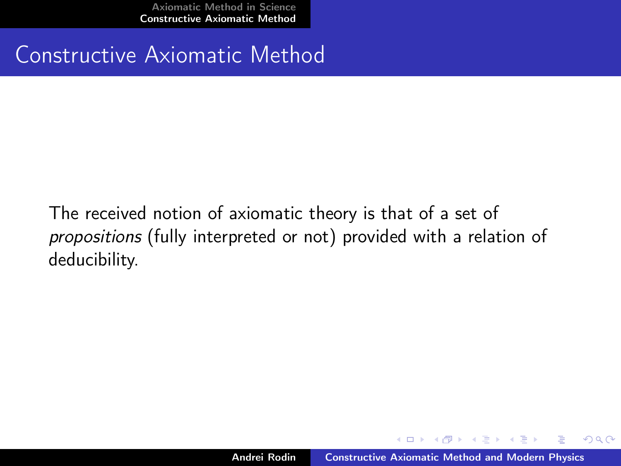### Constructive Axiomatic Method

The received notion of axiomatic theory is that of a set of propositions (fully interpreted or not) provided with a relation of deducibility.

<span id="page-21-0"></span> $4$   $\overline{m}$   $\rightarrow$   $\overline{m}$   $\rightarrow$   $\overline{m}$   $\rightarrow$   $\overline{m}$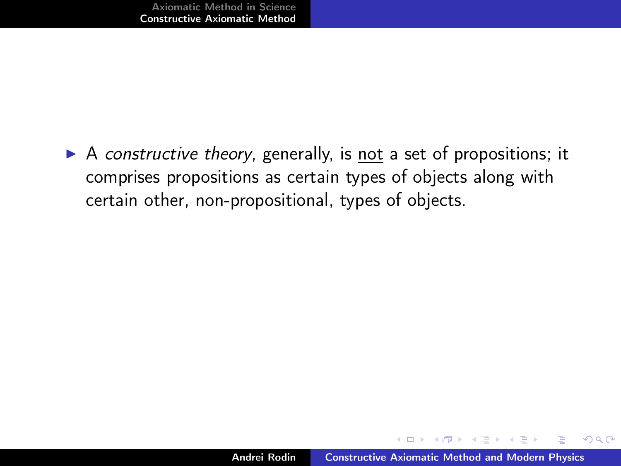$\triangleright$  A constructive theory, generally, is not a set of propositions; it comprises propositions as certain types of objects along with certain other, non-propositional, types of objects.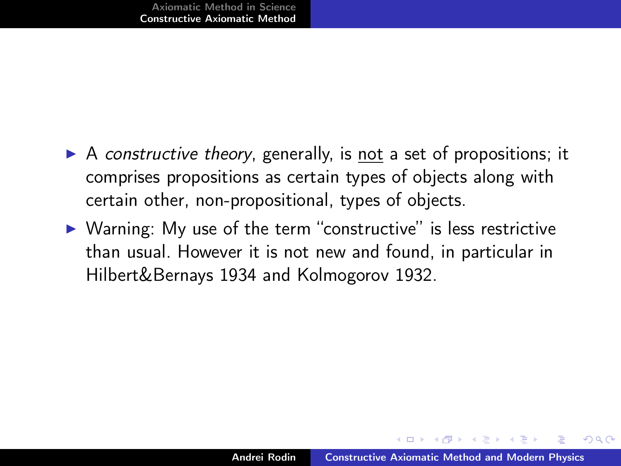- $\triangleright$  A constructive theory, generally, is not a set of propositions; it comprises propositions as certain types of objects along with certain other, non-propositional, types of objects.
- $\triangleright$  Warning: My use of the term "constructive" is less restrictive than usual. However it is not new and found, in particular in Hilbert&Bernays 1934 and Kolmogorov 1932.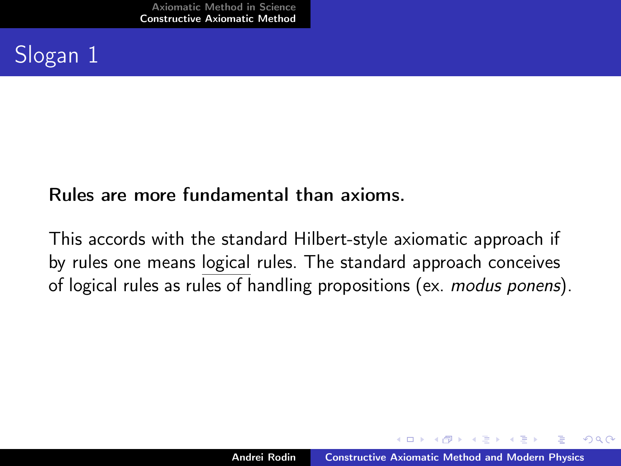## Slogan 1

#### Rules are more fundamental than axioms.

This accords with the standard Hilbert-style axiomatic approach if by rules one means logical rules. The standard approach conceives of logical rules as rules of handling propositions (ex. modus ponens).

 $4.51 \times 1.71 \times 1.71$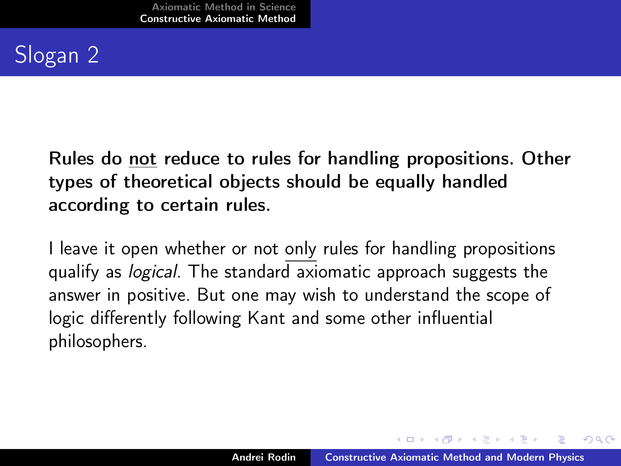## Slogan 2

Rules do not reduce to rules for handling propositions. Other types of theoretical objects should be equally handled according to certain rules.

I leave it open whether or not only rules for handling propositions qualify as *logical*. The standard  $\overline{ax}$  iomatic approach suggests the answer in positive. But one may wish to understand the scope of logic differently following Kant and some other influential philosophers.

 $A \cap B$  is a  $B$  is a  $B$  is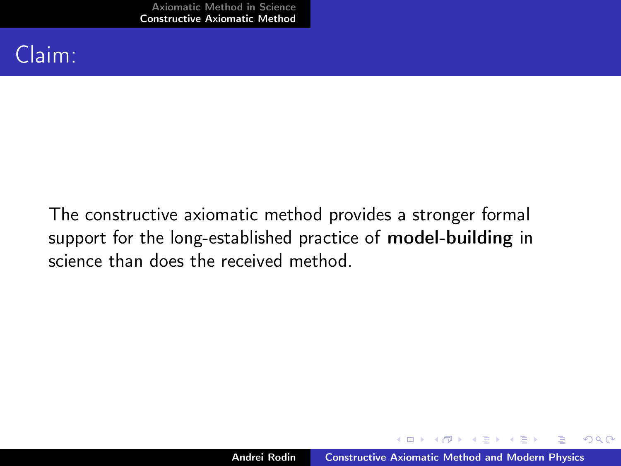## Claim:

The constructive axiomatic method provides a stronger formal support for the long-established practice of model-building in science than does the received method.

メタメ メモメ メモメ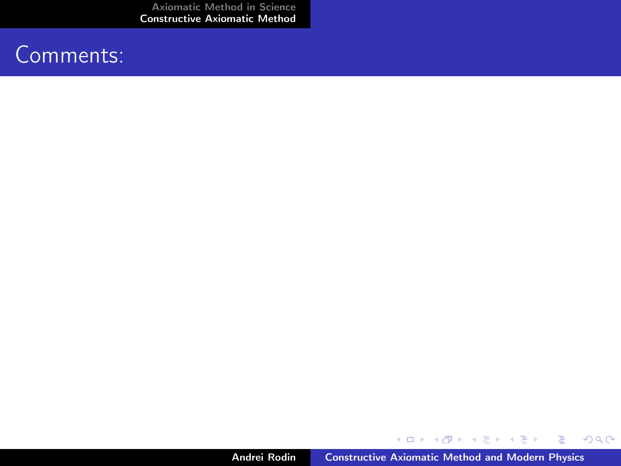### Comments:

メロメ メ御き メミメ メミメン 差し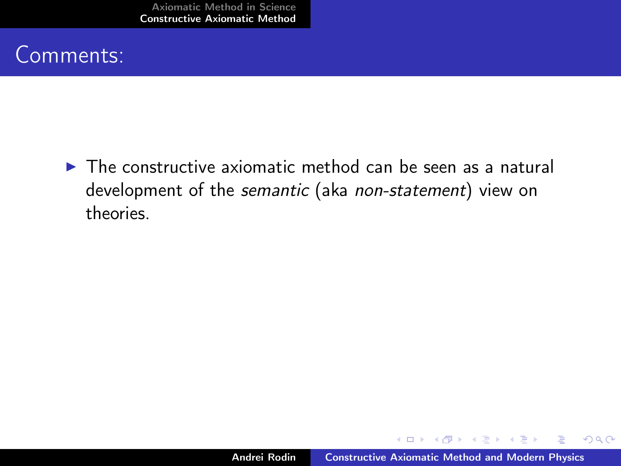## Comments:

 $\triangleright$  The constructive axiomatic method can be seen as a natural development of the semantic (aka non-statement) view on theories.

メタメ メモメ メモメ

 $298$ 

∍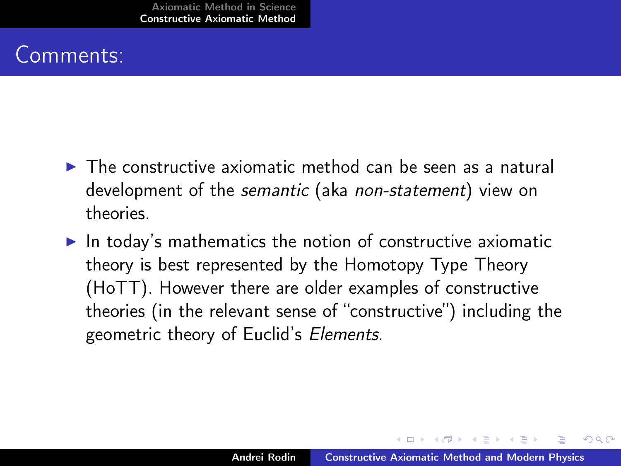## Comments:

- $\triangleright$  The constructive axiomatic method can be seen as a natural development of the semantic (aka non-statement) view on theories.
- $\blacktriangleright$  In today's mathematics the notion of constructive axiomatic theory is best represented by the Homotopy Type Theory (HoTT). However there are older examples of constructive theories (in the relevant sense of "constructive") including the geometric theory of Euclid's Elements.

 $A \oplus B$  and  $A \oplus B$  and  $A \oplus B$  and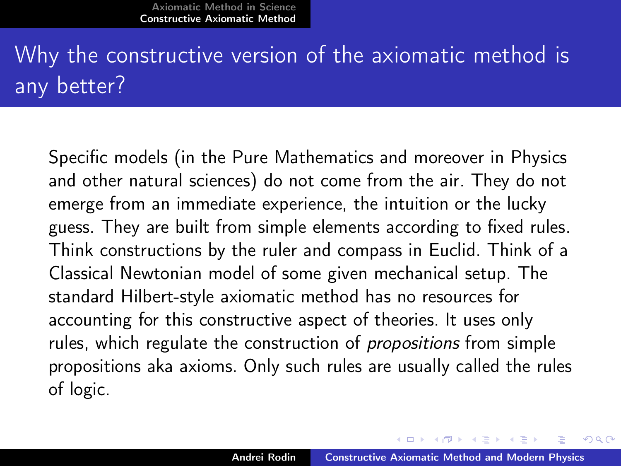## Why the constructive version of the axiomatic method is any better?

Specific models (in the Pure Mathematics and moreover in Physics and other natural sciences) do not come from the air. They do not emerge from an immediate experience, the intuition or the lucky guess. They are built from simple elements according to fixed rules. Think constructions by the ruler and compass in Euclid. Think of a Classical Newtonian model of some given mechanical setup. The standard Hilbert-style axiomatic method has no resources for accounting for this constructive aspect of theories. It uses only rules, which regulate the construction of propositions from simple propositions aka axioms. Only such rules are usually called the rules of logic.

イロメ マタメ マミメ マミメ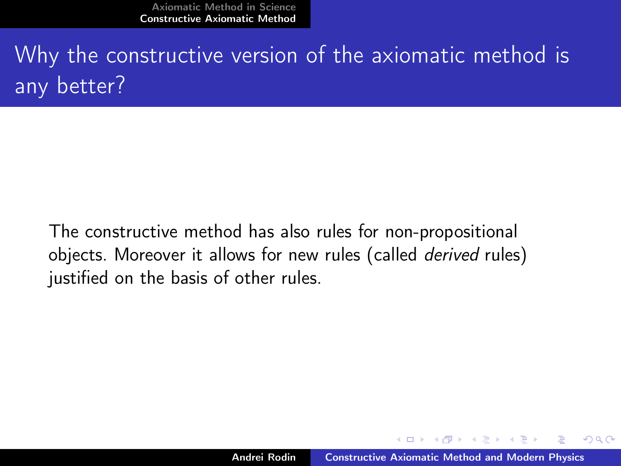Why the constructive version of the axiomatic method is any better?

The constructive method has also rules for non-propositional objects. Moreover it allows for new rules (called derived rules) justified on the basis of other rules.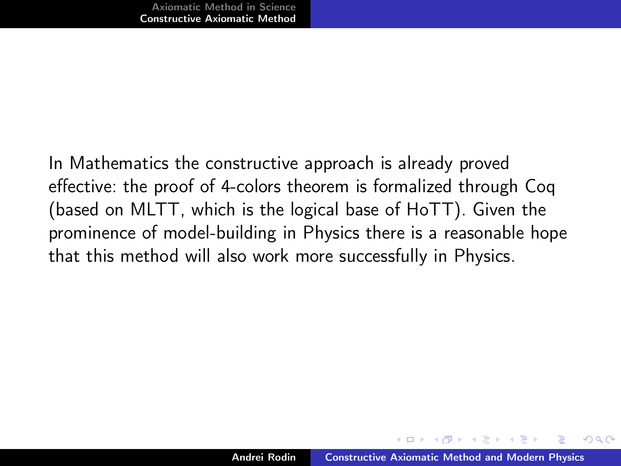In Mathematics the constructive approach is already proved effective: the proof of 4-colors theorem is formalized through Coq (based on MLTT, which is the logical base of HoTT). Given the prominence of model-building in Physics there is a reasonable hope that this method will also work more successfully in Physics.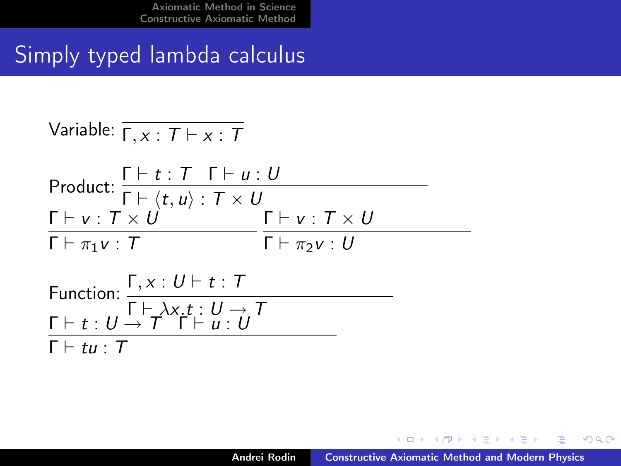## Simply typed lambda calculus

Variable: 
$$
\overline{\Gamma, x : T \vdash x : T}
$$
  
\nProduct:  $\frac{\Gamma \vdash t : T \Gamma \vdash u : U}{\Gamma \vdash \langle t, u \rangle : T \times U}$   
\n $\frac{\Gamma \vdash v : T \times U}{\Gamma \vdash \pi_1 v : T} \frac{\Gamma \vdash v : T \times U}{\Gamma \vdash \pi_2 v : U}$   
\nFunction:  $\frac{\Gamma, x : U \vdash t : T}{\Gamma \vdash \lambda x. t : U \rightarrow T}$   
\n $\frac{\Gamma \vdash t : U \rightarrow T \Gamma \vdash u : U}{\Gamma \vdash tu : U}$ 

K ロ ▶ K 御 ▶ K 君 ▶ K 君 ▶

重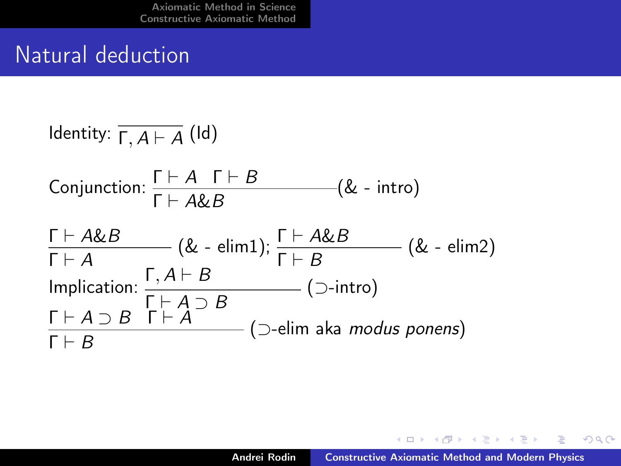## Natural deduction

Identity: 
$$
\overline{\Gamma, A \vdash A}
$$
 (Id)

\nConjunction:  $\frac{\Gamma \vdash A \Gamma \vdash B}{\Gamma \vdash A \& B}$  (& - intro)

\n $\frac{\Gamma \vdash A \& B}{\Gamma \vdash A}$  (& - elim1);  $\frac{\Gamma \vdash A \& B}{\Gamma \vdash B}$  (& - elim2)

\nImplication:  $\frac{\Gamma, A \vdash B}{\Gamma \vdash A \supset B}$  (sup) (2-intro)

\n $\frac{\Gamma \vdash A \supset B \Gamma \vdash A}{\Gamma \vdash B}$  (sup) (2-elim aka modus ponens)

メロト メタト メミト メミト

<span id="page-34-0"></span>目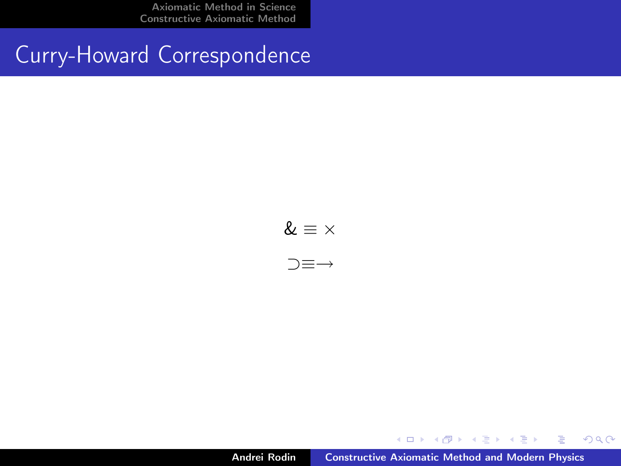Curry-Howard Correspondence

 $\& \equiv \times$ ⊃≡→

Andrei Rodin [Constructive Axiomatic Method and Modern Physics](#page-0-0)

K ロ ▶ K 御 ▶ K 君 ▶ K 君 ▶

重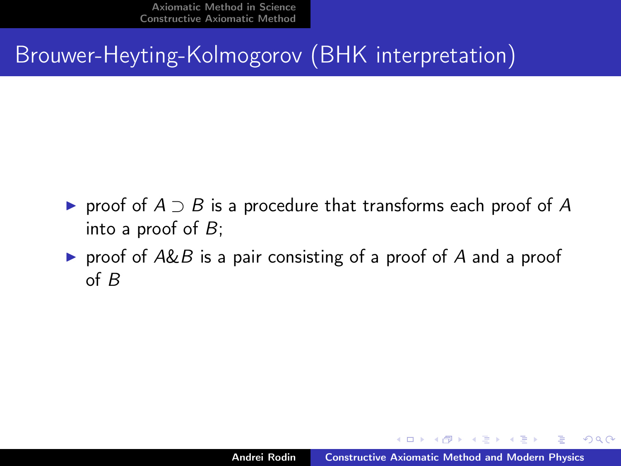Brouwer-Heyting-Kolmogorov (BHK interpretation)

- $\triangleright$  proof of  $A \supset B$  is a procedure that transforms each proof of A into a proof of  $B$ ;
- riangleright proof of A&B is a pair consisting of a proof of A and a proof of B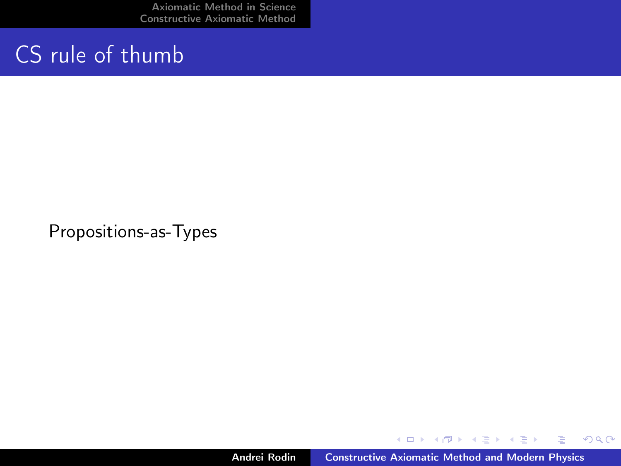## CS rule of thumb

Propositions-as-Types

K ロ ▶ K 御 ▶ K 君 ▶ K 君 ▶

重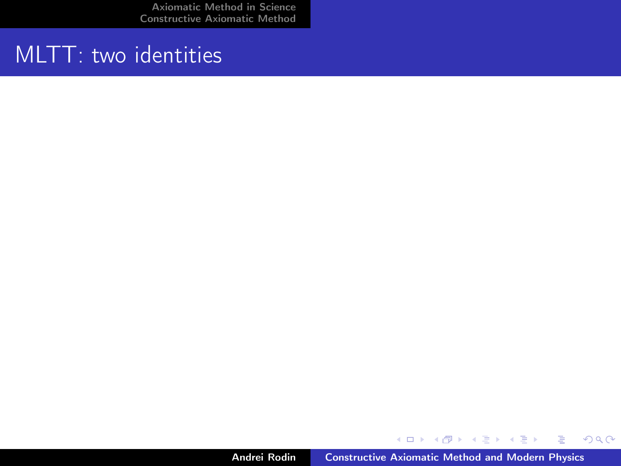## MLTT: two identities

メロメ メ都 メメモメ メモメ

目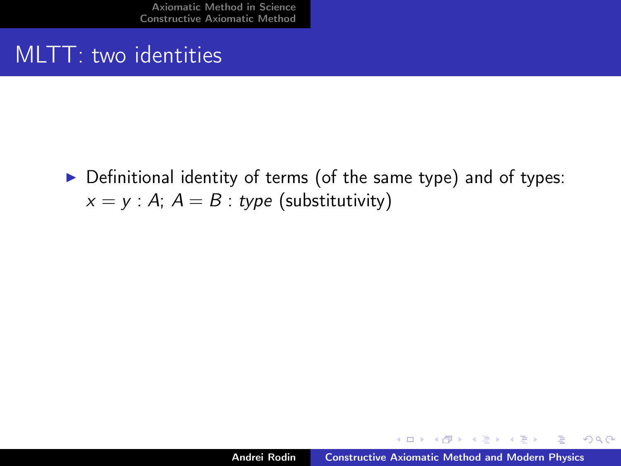## MLTT: two identities

 $\triangleright$  Definitional identity of terms (of the same type) and of types:  $x = y : A; A = B : type$  (substitutivity)

 $4$   $\overline{m}$   $\rightarrow$   $\overline{m}$   $\rightarrow$   $\overline{m}$   $\rightarrow$   $\overline{m}$ 

 $2Q$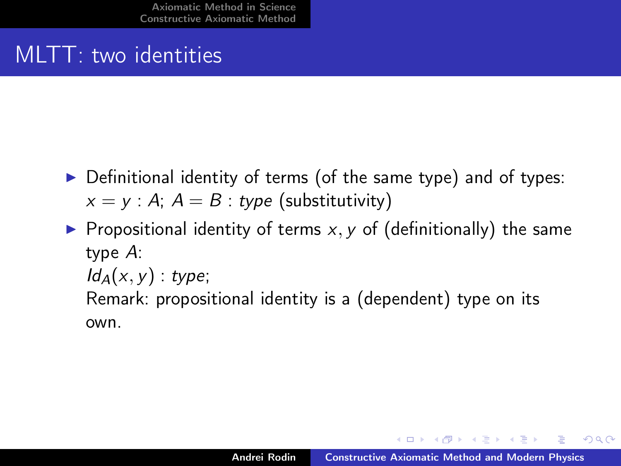## MLTT: two identities

- $\triangleright$  Definitional identity of terms (of the same type) and of types:  $x = y$ : A;  $A = B$ : type (substitutivity)
- **Propositional identity of terms x, y of (definitionally) the same** type A:  $Id_A(x, y)$ : type; Remark: propositional identity is a (dependent) type on its own.

イロメ イ押 トラ ミトラ オチャ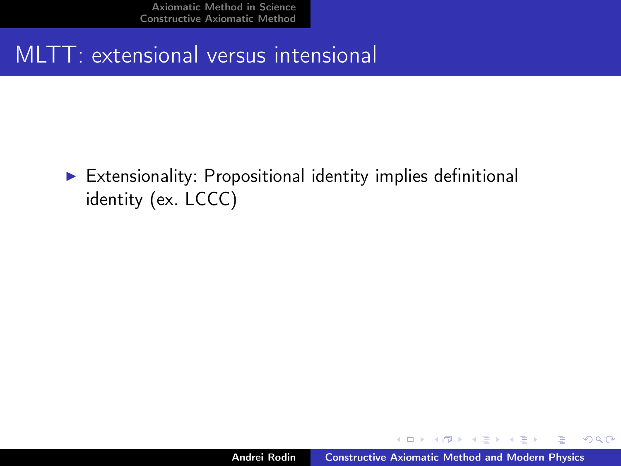## MLTT: extensional versus intensional

 $\triangleright$  Extensionality: Propositional identity implies definitional identity (ex. LCCC)

 $4$   $\overline{m}$   $\rightarrow$   $\overline{m}$   $\rightarrow$   $\overline{m}$   $\rightarrow$   $\overline{m}$ 

 $2Q$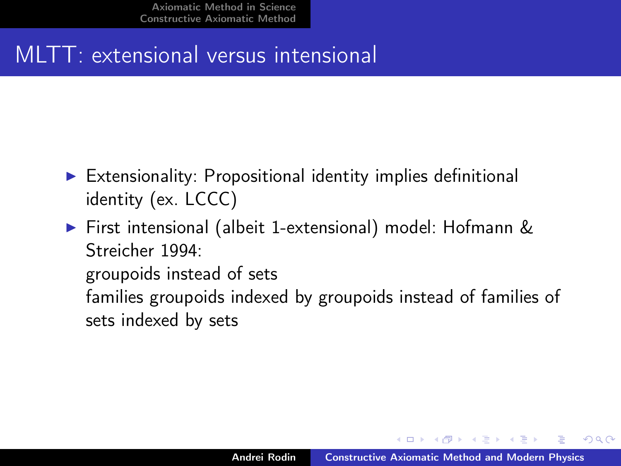## MLTT: extensional versus intensional

- $\triangleright$  Extensionality: Propositional identity implies definitional identity (ex. LCCC)
- ▶ First intensional (albeit 1-extensional) model: Hofmann & Streicher 1994: groupoids instead of sets families groupoids indexed by groupoids instead of families of sets indexed by sets

 $4$   $\overline{m}$   $\rightarrow$   $\overline{m}$   $\rightarrow$   $\overline{m}$   $\rightarrow$   $\overline{m}$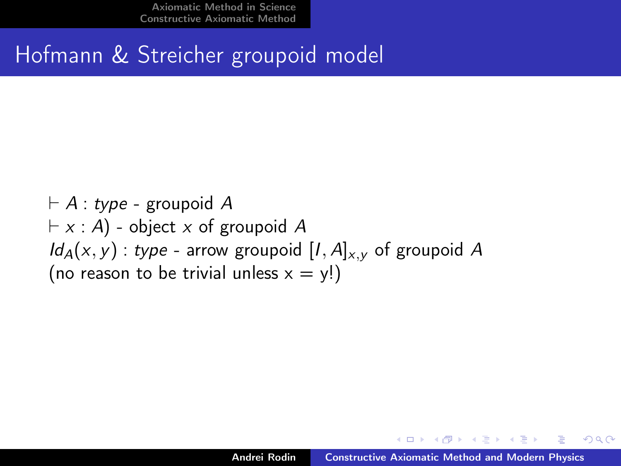Hofmann & Streicher groupoid model

 $\vdash A$  : type - groupoid A  $\vdash x : A$ ) - object x of groupoid A  $Id_A(x, y)$ : type - arrow groupoid  $[I, A]_{x,y}$  of groupoid A (no reason to be trivial unless  $x = y!)$ 

4 旬 ト 4 三 トー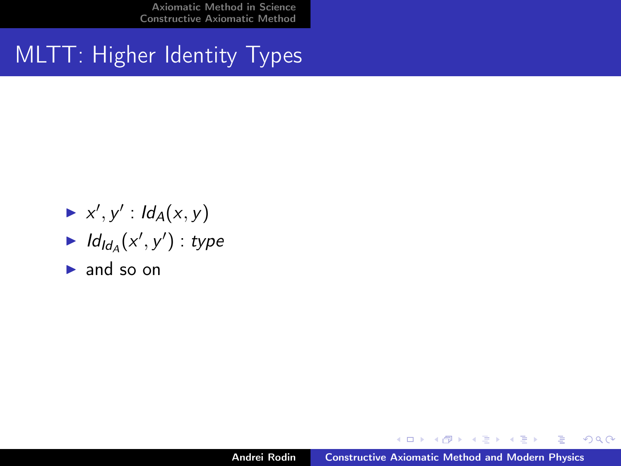## MLTT: Higher Identity Types

- $\blacktriangleright$  x', y' :  $Id_A(x, y)$
- $\blacktriangleright$   $ld_{Id_{A}}(x', y') : type$
- $\blacktriangleright$  and so on

K ロ ▶ K 御 ▶ K 君 ▶ K 君 ▶

 $2Q$ 

目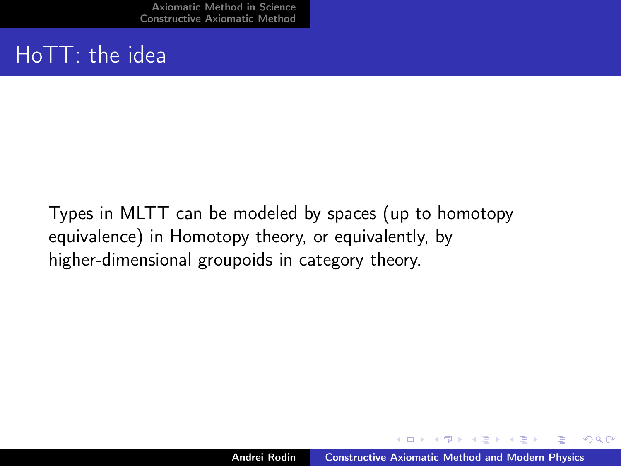## HoTT: the idea

Types in MLTT can be modeled by spaces (up to homotopy equivalence) in Homotopy theory, or equivalently, by higher-dimensional groupoids in category theory.

 $4$   $\overline{m}$   $\rightarrow$   $\overline{m}$   $\rightarrow$   $\overline{m}$   $\rightarrow$   $\overline{m}$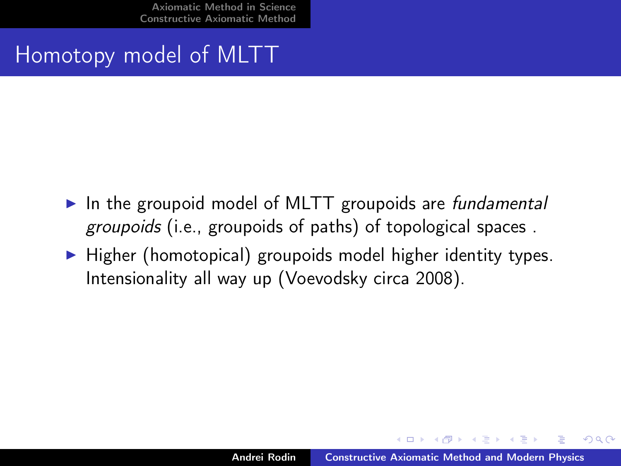## Homotopy model of MLTT

- $\blacktriangleright$  In the groupoid model of MLTT groupoids are fundamental groupoids (i.e., groupoids of paths) of topological spaces .
- $\blacktriangleright$  Higher (homotopical) groupoids model higher identity types. Intensionality all way up (Voevodsky circa 2008).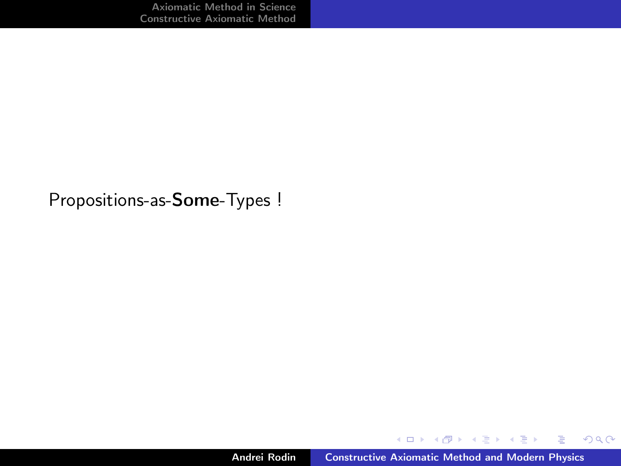Propositions-as-Some-Types !

メロト メタト メミト メミト

重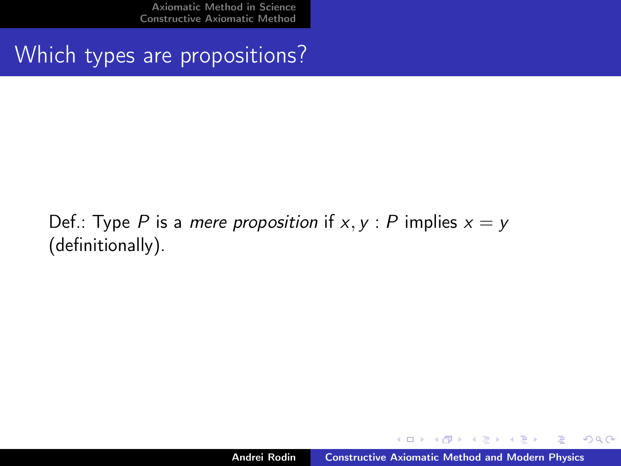Which types are propositions?

### Def.: Type P is a mere proposition if  $x, y$  : P implies  $x = y$ (definitionally).

マーター マーティング

 $2Q$ 

э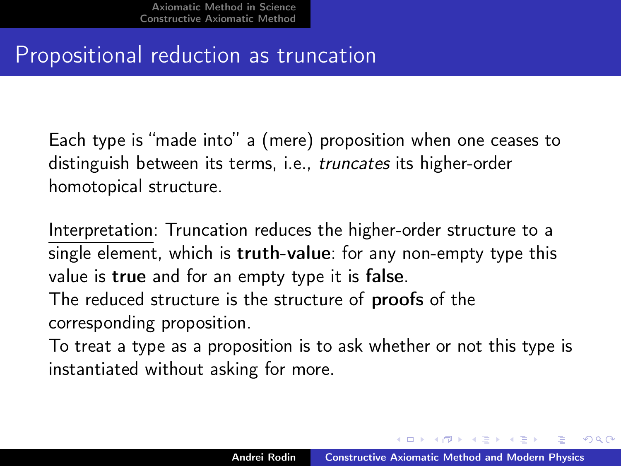## Propositional reduction as truncation

Each type is "made into" a (mere) proposition when one ceases to distinguish between its terms, i.e., truncates its higher-order homotopical structure.

Interpretation: Truncation reduces the higher-order structure to a single element, which is truth-value: for any non-empty type this value is true and for an empty type it is false. The reduced structure is the structure of proofs of the corresponding proposition.

To treat a type as a proposition is to ask whether or not this type is instantiated without asking for more.

イロメ マ母 トラ ミトラ オラメ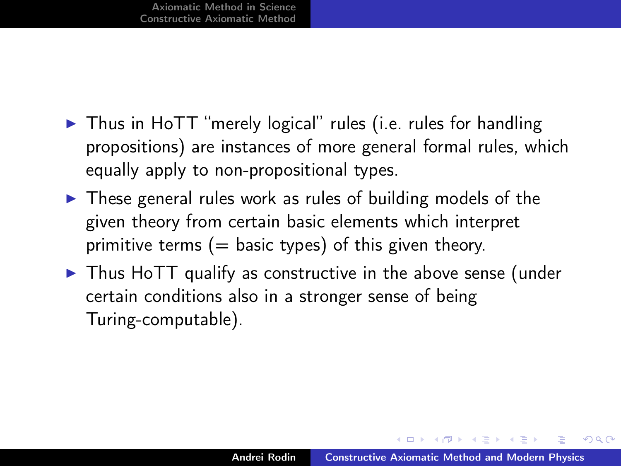- $\triangleright$  Thus in HoTT "merely logical" rules (i.e. rules for handling propositions) are instances of more general formal rules, which equally apply to non-propositional types.
- $\triangleright$  These general rules work as rules of building models of the given theory from certain basic elements which interpret primitive terms  $(=$  basic types) of this given theory.
- $\triangleright$  Thus HoTT qualify as constructive in the above sense (under certain conditions also in a stronger sense of being Turing-computable).

イロメ イ押 トラ ミトラ オチャ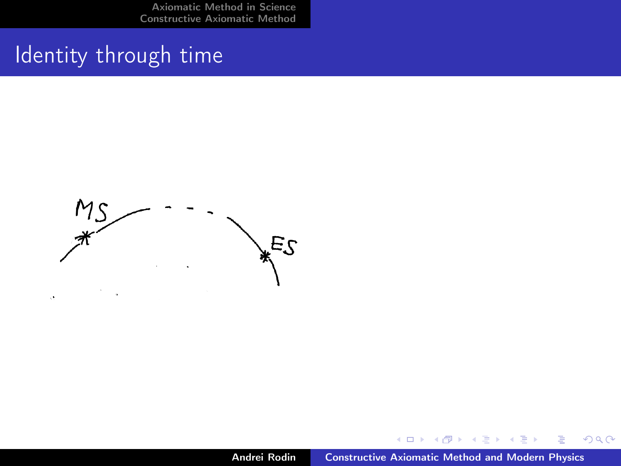## Identity through time



K ロ ▶ K 御 ▶ K 君 ▶ K 君 ▶

重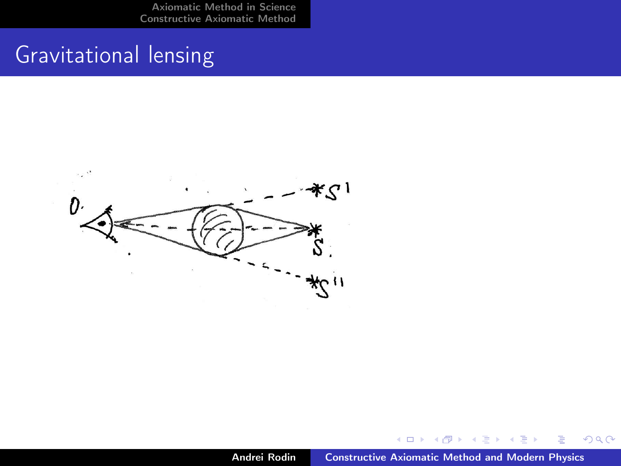## Gravitational lensing



∢ 伊 ▶ → 唐

 $\sim$ 走  $299$ 

重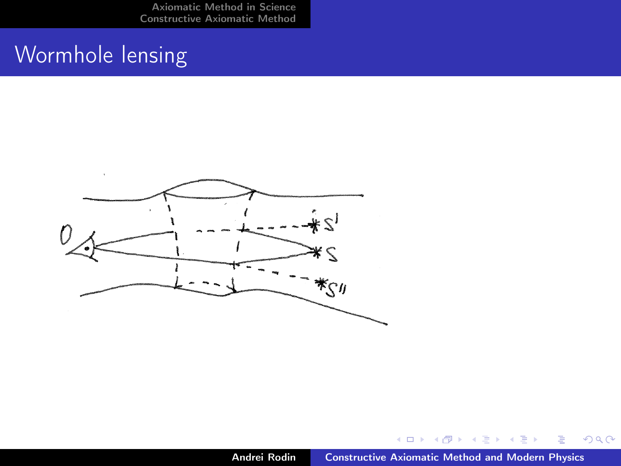## Wormhole lensing



④ → → 重

→ 重

**B** 

 $\sim$ 

重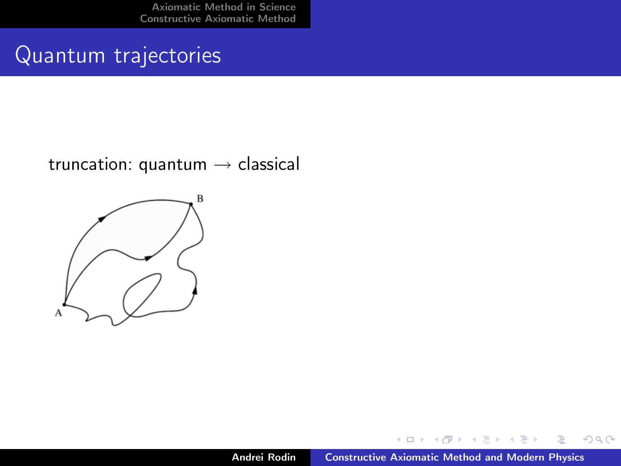### Quantum trajectories

#### truncation: quantum  $\rightarrow$  classical



一句  $\sim$  $\mathcal{A}$  . ÷  $\sim$   $\equiv$ 

É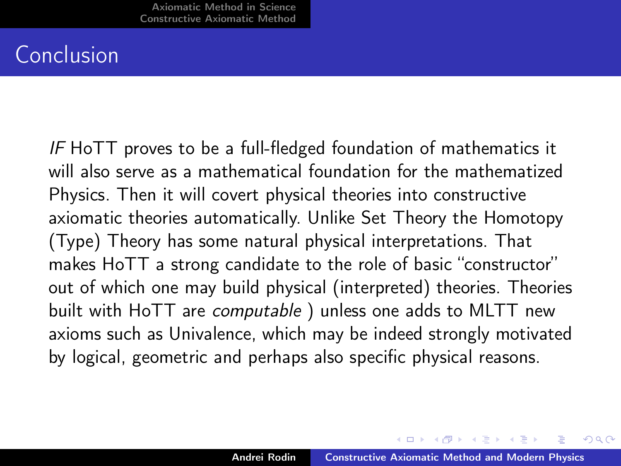### Conclusion

IF HoTT proves to be a full-fledged foundation of mathematics it will also serve as a mathematical foundation for the mathematized Physics. Then it will covert physical theories into constructive axiomatic theories automatically. Unlike Set Theory the Homotopy (Type) Theory has some natural physical interpretations. That makes HoTT a strong candidate to the role of basic "constructor" out of which one may build physical (interpreted) theories. Theories built with HoTT are *computable* ) unless one adds to MLTT new axioms such as Univalence, which may be indeed strongly motivated by logical, geometric and perhaps also specific physical reasons.

イロメ イ御メ イヨメ イヨ